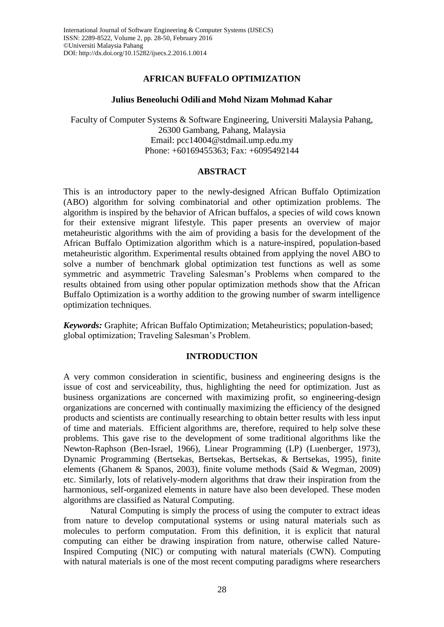## **AFRICAN BUFFALO OPTIMIZATION**

### **Julius Beneoluchi Odili and Mohd Nizam Mohmad Kahar**

Faculty of Computer Systems & Software Engineering, Universiti Malaysia Pahang, 26300 Gambang, Pahang, Malaysia Email: [pcc14004@stdmail.ump.edu.my](mailto:pcc14004@stdmail.ump.edu.my) Phone: +60169455363; Fax: +6095492144

### **ABSTRACT**

This is an introductory paper to the newly-designed African Buffalo Optimization (ABO) algorithm for solving combinatorial and other optimization problems. The algorithm is inspired by the behavior of African buffalos, a species of wild cows known for their extensive migrant lifestyle. This paper presents an overview of major metaheuristic algorithms with the aim of providing a basis for the development of the African Buffalo Optimization algorithm which is a nature-inspired, population-based metaheuristic algorithm. Experimental results obtained from applying the novel ABO to solve a number of benchmark global optimization test functions as well as some symmetric and asymmetric Traveling Salesman's Problems when compared to the results obtained from using other popular optimization methods show that the African Buffalo Optimization is a worthy addition to the growing number of swarm intelligence optimization techniques.

*Keywords:* Graphite; African Buffalo Optimization; Metaheuristics; population-based; global optimization; Traveling Salesman's Problem.

## **INTRODUCTION**

A very common consideration in scientific, business and engineering designs is the issue of cost and serviceability, thus, highlighting the need for optimization. Just as business organizations are concerned with maximizing profit, so engineering-design organizations are concerned with continually maximizing the efficiency of the designed products and scientists are continually researching to obtain better results with less input of time and materials. Efficient algorithms are, therefore, required to help solve these problems. This gave rise to the development of some traditional algorithms like the Newton-Raphson (Ben-Israel, 1966), Linear Programming (LP) (Luenberger, 1973), Dynamic Programming (Bertsekas, Bertsekas, Bertsekas, & Bertsekas, 1995), finite elements (Ghanem & Spanos, 2003), finite volume methods (Said & Wegman, 2009) etc. Similarly, lots of relatively-modern algorithms that draw their inspiration from the harmonious, self-organized elements in nature have also been developed. These moden algorithms are classified as Natural Computing.

Natural Computing is simply the process of using the computer to extract ideas from nature to develop computational systems or using natural materials such as molecules to perform computation. From this definition, it is explicit that natural computing can either be drawing inspiration from nature, otherwise called Nature-Inspired Computing (NIC) or computing with natural materials (CWN). Computing with natural materials is one of the most recent computing paradigms where researchers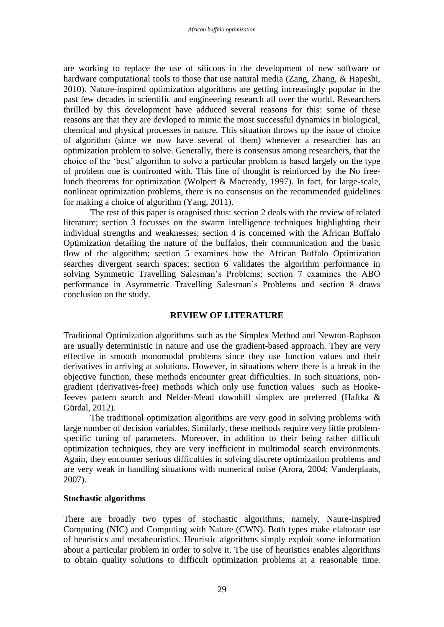are working to replace the use of silicons in the development of new software or hardware computational tools to those that use natural media (Zang, Zhang, & Hapeshi, 2010). Nature-inspired optimization algorithms are getting increasingly popular in the past few decades in scientific and engineering research all over the world. Researchers thrilled by this development have adduced several reasons for this: some of these reasons are that they are devloped to mimic the most successful dynamics in biological, chemical and physical processes in nature. This situation throws up the issue of choice of algorithm (since we now have several of them) whenever a researcher has an optimization problem to solve. Generally, there is consensus among researchers, that the choice of the 'best' algorithm to solve a particular problem is based largely on the type of problem one is confronted with. This line of thought is reinforced by the No freelunch theorems for optimization (Wolpert & Macready, 1997). In fact, for large-scale, nonlinear optimization problems, there is no consensus on the recommended guidelines for making a choice of algorithm (Yang, 2011).

The rest of this paper is oragnised thus: section 2 deals with the review of related literature; section 3 focusses on the swarm intelligence techniques highlighting their individual strengths and weaknesses; section 4 is concerned with the African Buffalo Optimization detailing the nature of the buffalos, their communication and the basic flow of the algorithm; section 5 examines how the African Buffalo Optimization searches divergent search spaces; section 6 validates the algorithm performance in solving Symmetric Travelling Salesman's Problems; section 7 examines the ABO performance in Asymmetric Travelling Salesman's Problems and section 8 draws conclusion on the study.

## **REVIEW OF LITERATURE**

Traditional Optimization algorithms such as the Simplex Method and Newton-Raphson are usually deterministic in nature and use the gradient-based approach. They are very effective in smooth monomodal problems since they use function values and their derivatives in arriving at solutions. However, in situations where there is a break in the objective function, these methods encounter great difficulties. In such situations, nongradient (derivatives-free) methods which only use function values such as Hooke-Jeeves pattern search and Nelder-Mead downhill simplex are preferred (Haftka & Gürdal, 2012).

The traditional optimization algorithms are very good in solving problems with large number of decision variables. Similarly, these methods require very little problemspecific tuning of parameters. Moreover, in addition to their being rather difficult optimization techniques, they are very inefficient in multimodal search environments. Again, they encounter serious difficulties in solving discrete optimization problems and are very weak in handling situations with numerical noise (Arora, 2004; Vanderplaats, 2007).

## **Stochastic algorithms**

There are broadly two types of stochastic algorithms, namely, Naure-inspired Computing (NIC) and Computing with Nature (CWN). Both types make elaborate use of heuristics and metaheuristics. Heuristic algorithms simply exploit some information about a particular problem in order to solve it. The use of heuristics enables algorithms to obtain quality solutions to difficult optimization problems at a reasonable time.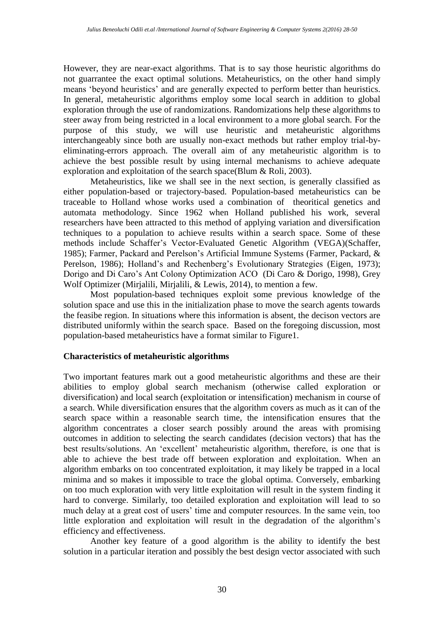However, they are near-exact algorithms. That is to say those heuristic algorithms do not guarrantee the exact optimal solutions. Metaheuristics, on the other hand simply means 'beyond heuristics' and are generally expected to perform better than heuristics. In general, metaheuristic algorithms employ some local search in addition to global exploration through the use of randomizations. Randomizations help these algorithms to steer away from being restricted in a local environment to a more global search. For the purpose of this study, we will use heuristic and metaheuristic algorithms interchangeably since both are usually non-exact methods but rather employ trial-byeliminating-errors approach. The overall aim of any metaheuristic algorithm is to achieve the best possible result by using internal mechanisms to achieve adequate exploration and exploitation of the search space(Blum & Roli, 2003).

Metaheuristics, like we shall see in the next section, is generally classified as either population-based or trajectory-based. Population-based metaheuristics can be traceable to Holland whose works used a combination of theoritical genetics and automata methodology. Since 1962 when Holland published his work, several researchers have been attracted to this method of applying variation and diversification techniques to a population to achieve results within a search space. Some of these methods include Schaffer's Vector-Evaluated Genetic Algorithm (VEGA)(Schaffer, 1985); Farmer, Packard and Perelson's Artificial Immune Systems (Farmer, Packard, & Perelson, 1986); Holland's and Rechenberg's Evolutionary Strategies (Eigen, 1973); Dorigo and Di Caro's Ant Colony Optimization ACO (Di Caro & Dorigo, 1998), Grey Wolf Optimizer (Mirjalili, Mirjalili, & Lewis, 2014), to mention a few.

Most population-based techniques exploit some previous knowledge of the solution space and use this in the initialization phase to move the search agents towards the feasibe region. In situations where this information is absent, the decison vectors are distributed uniformly within the search space. Based on the foregoing discussion, most population-based metaheuristics have a format similar to Figure1.

## **Characteristics of metaheuristic algorithms**

Two important features mark out a good metaheuristic algorithms and these are their abilities to employ global search mechanism (otherwise called exploration or diversification) and local search (exploitation or intensification) mechanism in course of a search. While diversification ensures that the algorithm covers as much as it can of the search space within a reasonable search time, the intensification ensures that the algorithm concentrates a closer search possibly around the areas with promising outcomes in addition to selecting the search candidates (decision vectors) that has the best results/solutions. An 'excellent' metaheuristic algorithm, therefore, is one that is able to achieve the best trade off between exploration and exploitation. When an algorithm embarks on too concentrated exploitation, it may likely be trapped in a local minima and so makes it impossible to trace the global optima. Conversely, embarking on too much exploration with very little exploitation will result in the system finding it hard to converge. Similarly, too detailed exploration and exploitation will lead to so much delay at a great cost of users' time and computer resources. In the same vein, too little exploration and exploitation will result in the degradation of the algorithm's efficiency and effectiveness.

Another key feature of a good algorithm is the ability to identify the best solution in a particular iteration and possibly the best design vector associated with such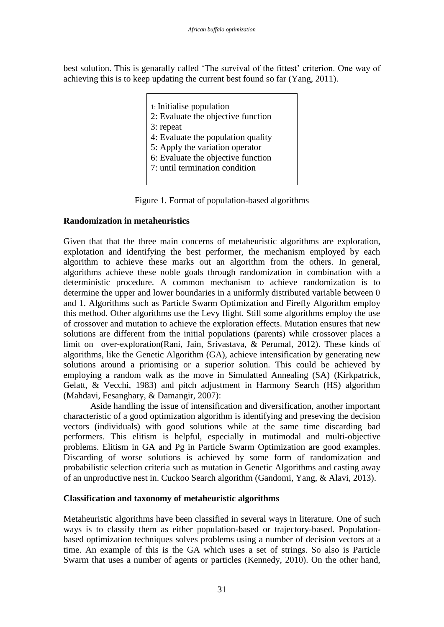best solution. This is genarally called 'The survival of the fittest' criterion. One way of achieving this is to keep updating the current best found so far (Yang, 2011).

> 1: Initialise population 2: Evaluate the objective function 3: repeat 4: Evaluate the population quality 5: Apply the variation operator 6: Evaluate the objective function 7: until termination condition



# **Randomization in metaheuristics**

Given that that the three main concerns of metaheuristic algorithms are exploration, explotation and identifying the best performer, the mechanism employed by each algorithm to achieve these marks out an algorithm from the others. In general, algorithms achieve these noble goals through randomization in combination with a deterministic procedure. A common mechanism to achieve randomization is to determine the upper and lower boundaries in a uniformly distributed variable between 0 and 1. Algorithms such as Particle Swarm Optimization and Firefly Algorithm employ this method. Other algorithms use the Levy flight. Still some algorithms employ the use of crossover and mutation to achieve the exploration effects. Mutation ensures that new solutions are different from the initial populations (parents) while crossover places a limit on over-exploration(Rani, Jain, Srivastava, & Perumal, 2012). These kinds of algorithms, like the Genetic Algorithm (GA), achieve intensification by generating new solutions around a priomising or a superior solution. This could be achieved by employing a random walk as the move in Simulatted Annealing (SA) (Kirkpatrick, Gelatt, & Vecchi, 1983) and pitch adjustment in Harmony Search (HS) algorithm (Mahdavi, Fesanghary, & Damangir, 2007):

Aside handling the issue of intensification and diversification, another important characteristic of a good optimization algorithm is identifying and preseving the decision vectors (individuals) with good solutions while at the same time discarding bad performers. This elitism is helpful, especially in mutimodal and multi-objective problems. Elitism in GA and Pg in Particle Swarm Optimization are good examples. Discarding of worse solutions is achieved by some form of randomization and probabilistic selection criteria such as mutation in Genetic Algorithms and casting away of an unproductive nest in. Cuckoo Search algorithm (Gandomi, Yang, & Alavi, 2013).

# **Classification and taxonomy of metaheuristic algorithms**

Metaheuristic algorithms have been classified in several ways in literature. One of such ways is to classify them as either population-based or trajectory-based. Populationbased optimization techniques solves problems using a number of decision vectors at a time. An example of this is the GA which uses a set of strings. So also is Particle Swarm that uses a number of agents or particles (Kennedy, 2010). On the other hand,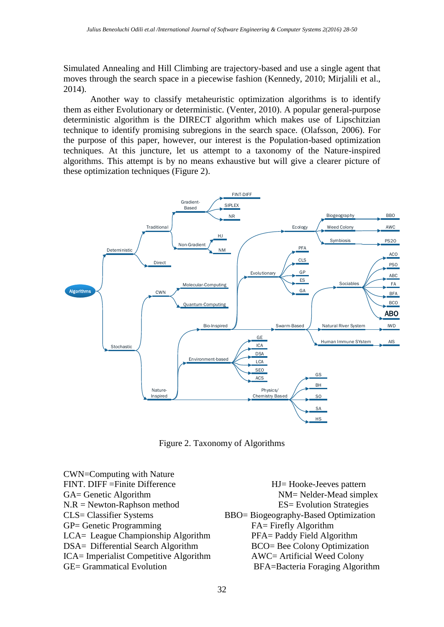Simulated Annealing and Hill Climbing are trajectory-based and use a single agent that moves through the search space in a piecewise fashion (Kennedy, 2010; Mirjalili et al., 2014).

Another way to classify metaheuristic optimization algorithms is to identify them as either Evolutionary or deterministic. (Venter, 2010). A popular general-purpose deterministic algorithm is the DIRECT algorithm which makes use of Lipschitzian technique to identify promising subregions in the search space. (Olafsson, 2006). For the purpose of this paper, however, our interest is the Population-based optimization techniques. At this juncture, let us attempt to a taxonomy of the Nature-inspired algorithms. This attempt is by no means exhaustive but will give a clearer picture of these optimization techniques (Figure 2).



Figure 2. Taxonomy of Algorithms

CWN=Computing with Nature FINT. DIFF = Finite Difference HJ= Hooke-Jeeves pattern GA= Genetic Algorithm NM= Nelder-Mead simplex N.R = Newton-Raphson method ES= Evolution Strategies CLS= Classifier Systems BBO= Biogeography-Based Optimization GP= Genetic Programming FA= Firefly Algorithm LCA= League Championship Algorithm PFA= Paddy Field Algorithm DSA= Differential Search Algorithm BCO= Bee Colony Optimization ICA= Imperialist Competitive Algorithm AWC= Artificial Weed Colony GE= Grammatical Evolution BFA=Bacteria Foraging Algorithm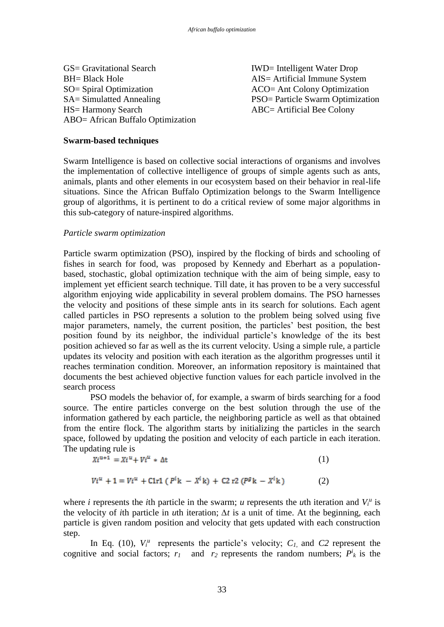GS= Gravitational Search IWD= Intelligent Water Drop BH= Black Hole AIS= Artificial Immune System SO= Spiral Optimization ACO= Ant Colony Optimization SA= Simulatted Annealing PSO= Particle Swarm Optimization HS= Harmony Search ABC= Artificial Bee Colony ABO= African Buffalo Optimization

### **Swarm-based techniques**

Swarm Intelligence is based on collective social interactions of organisms and involves the implementation of collective intelligence of groups of simple agents such as ants, animals, plants and other elements in our ecosystem based on their behavior in real-life situations. Since the African Buffalo Optimization belongs to the Swarm Intelligence group of algorithms, it is pertinent to do a critical review of some major algorithms in this sub-category of nature-inspired algorithms.

### *Particle swarm optimization*

Particle swarm optimization (PSO), inspired by the flocking of birds and schooling of fishes in search for food, was proposed by Kennedy and Eberhart as a populationbased, stochastic, global optimization technique with the aim of being simple, easy to implement yet efficient search technique. Till date, it has proven to be a very successful algorithm enjoying wide applicability in several problem domains. The PSO harnesses the velocity and positions of these simple ants in its search for solutions. Each agent called particles in PSO represents a solution to the problem being solved using five major parameters, namely, the current position, the particles' best position, the best position found by its neighbor, the individual particle's knowledge of the its best position achieved so far as well as the its current velocity. Using a simple rule, a particle updates its velocity and position with each iteration as the algorithm progresses until it reaches termination condition. Moreover, an information repository is maintained that documents the best achieved objective function values for each particle involved in the search process

PSO models the behavior of, for example, a swarm of birds searching for a food source. The entire particles converge on the best solution through the use of the information gathered by each particle, the neighboring particle as well as that obtained from the entire flock. The algorithm starts by initializing the particles in the search space, followed by updating the position and velocity of each particle in each iteration. The updating rule is

$$
Xi^{u+1} = Xi^u + Vi^u * \Delta t \tag{1}
$$

$$
Vi^{u} + 1 = Vi^{u} + C1r1 (P^{i}k - X^{i}k) + C2 r2 (P^{g}k - X^{i}k)
$$
 (2)

where *i* represents the *i*th particle in the swarm; *u* represents the *u*th iteration and  $V_i^u$  is the velocity of *i*th particle in *u*th iteration; *∆t* is a unit of time. At the beginning, each particle is given random position and velocity that gets updated with each construction step.

In Eq. (10),  $V_i^{\mu}$  represents the particle's velocity;  $C_i$ , and  $C2$  represent the cognitive and social factors;  $r_1$  and  $r_2$  represents the random numbers;  $P^i_k$  is the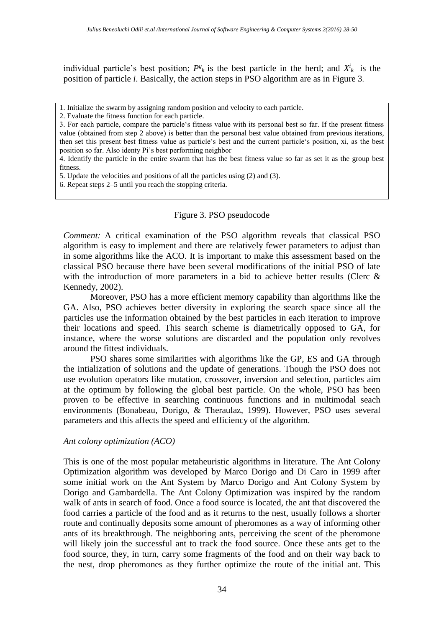individual particle's best position;  $P^g{}_k$  is the best particle in the herd; and  $X^i{}_k$  is the position of particle *i*. Basically, the action steps in PSO algorithm are as in Figure 3.

4. Identify the particle in the entire swarm that has the best fitness value so far as set it as the group best fitness.

5. Update the velocities and positions of all the particles using (2) and (3).

6. Repeat steps 2–5 until you reach the stopping criteria.

## Figure 3. PSO pseudocode

*Comment:* A critical examination of the PSO algorithm reveals that classical PSO algorithm is easy to implement and there are relatively fewer parameters to adjust than in some algorithms like the ACO. It is important to make this assessment based on the classical PSO because there have been several modifications of the initial PSO of late with the introduction of more parameters in a bid to achieve better results (Clerc  $\&$ Kennedy, 2002).

Moreover, PSO has a more efficient memory capability than algorithms like the GA. Also, PSO achieves better diversity in exploring the search space since all the particles use the information obtained by the best particles in each iteration to improve their locations and speed. This search scheme is diametrically opposed to GA, for instance, where the worse solutions are discarded and the population only revolves around the fittest individuals.

PSO shares some similarities with algorithms like the GP, ES and GA through the intialization of solutions and the update of generations. Though the PSO does not use evolution operators like mutation, crossover, inversion and selection, particles aim at the optimum by following the global best particle. On the whole, PSO has been proven to be effective in searching continuous functions and in multimodal seach environments (Bonabeau, Dorigo, & Theraulaz, 1999). However, PSO uses several parameters and this affects the speed and efficiency of the algorithm.

## *Ant colony optimization (ACO)*

This is one of the most popular metaheuristic algorithms in literature. The Ant Colony Optimization algorithm was developed by Marco Dorigo and Di Caro in 1999 after some initial work on the Ant System by Marco Dorigo and Ant Colony System by Dorigo and Gambardella. The Ant Colony Optimization was inspired by the random walk of ants in search of food. Once a food source is located, the ant that discovered the food carries a particle of the food and as it returns to the nest, usually follows a shorter route and continually deposits some amount of pheromones as a way of informing other ants of its breakthrough. The neighboring ants, perceiving the scent of the pheromone will likely join the successful ant to track the food source. Once these ants get to the food source, they, in turn, carry some fragments of the food and on their way back to the nest, drop pheromones as they further optimize the route of the initial ant. This

<sup>1.</sup> Initialize the swarm by assigning random position and velocity to each particle.

<sup>2.</sup> Evaluate the fitness function for each particle.

<sup>3.</sup> For each particle, compare the particle's fitness value with its personal best so far. If the present fitness value (obtained from step 2 above) is better than the personal best value obtained from previous iterations, then set this present best fitness value as particle's best and the current particle's position, xi, as the best position so far. Also identy Pi's best performing neighbor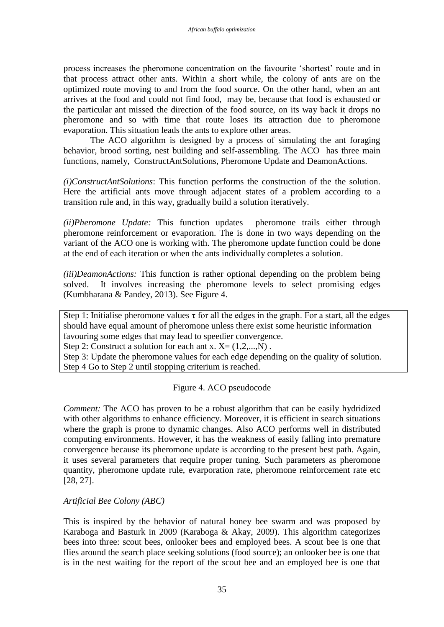process increases the pheromone concentration on the favourite 'shortest' route and in that process attract other ants. Within a short while, the colony of ants are on the optimized route moving to and from the food source. On the other hand, when an ant arrives at the food and could not find food, may be, because that food is exhausted or the particular ant missed the direction of the food source, on its way back it drops no pheromone and so with time that route loses its attraction due to pheromone evaporation. This situation leads the ants to explore other areas.

The ACO algorithm is designed by a process of simulating the ant foraging behavior, brood sorting, nest building and self-assembling. The ACO has three main functions, namely, ConstructAntSolutions, Pheromone Update and DeamonActions.

*(i)ConstructAntSolutions*: This function performs the construction of the the solution. Here the artificial ants move through adjacent states of a problem according to a transition rule and, in this way, gradually build a solution iteratively.

*(ii)Pheromone Update:* This function updates pheromone trails either through pheromone reinforcement or evaporation. The is done in two ways depending on the variant of the ACO one is working with. The pheromone update function could be done at the end of each iteration or when the ants individually completes a solution.

*(iii)DeamonActions:* This function is rather optional depending on the problem being solved. It involves increasing the pheromone levels to select promising edges (Kumbharana & Pandey, 2013). See Figure 4.

Step 1: Initialise pheromone values  $\tau$  for all the edges in the graph. For a start, all the edges should have equal amount of pheromone unless there exist some heuristic information favouring some edges that may lead to speedier convergence.

Step 2: Construct a solution for each ant x.  $X = (1, 2, \ldots, N)$ .

Step 3: Update the pheromone values for each edge depending on the quality of solution. Step 4 Go to Step 2 until stopping criterium is reached.

# Figure 4. ACO pseudocode

*Comment:* The ACO has proven to be a robust algorithm that can be easily hydridized with other algorithms to enhance efficiency. Moreover, it is efficient in search situations where the graph is prone to dynamic changes. Also ACO performs well in distributed computing environments. However, it has the weakness of easily falling into premature convergence because its pheromone update is according to the present best path. Again, it uses several parameters that require proper tuning. Such parameters as pheromone quantity, pheromone update rule, evarporation rate, pheromone reinforcement rate etc [28, 27].

*Artificial Bee Colony (ABC)* 

This is inspired by the behavior of natural honey bee swarm and was proposed by Karaboga and Basturk in 2009 (Karaboga & Akay, 2009). This algorithm categorizes bees into three: scout bees, onlooker bees and employed bees. A scout bee is one that flies around the search place seeking solutions (food source); an onlooker bee is one that is in the nest waiting for the report of the scout bee and an employed bee is one that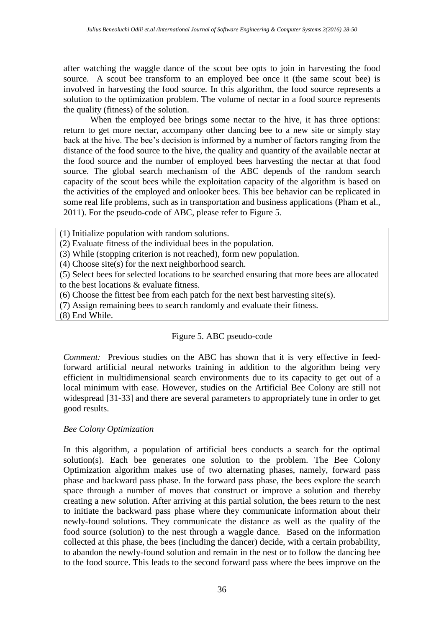after watching the waggle dance of the scout bee opts to join in harvesting the food source. A scout bee transform to an employed bee once it (the same scout bee) is involved in harvesting the food source. In this algorithm, the food source represents a solution to the optimization problem. The volume of nectar in a food source represents the quality (fitness) of the solution.

When the employed bee brings some nectar to the hive, it has three options: return to get more nectar, accompany other dancing bee to a new site or simply stay back at the hive. The bee's decision is informed by a number of factors ranging from the distance of the food source to the hive, the quality and quantity of the available nectar at the food source and the number of employed bees harvesting the nectar at that food source. The global search mechanism of the ABC depends of the random search capacity of the scout bees while the exploitation capacity of the algorithm is based on the activities of the employed and onlooker bees. This bee behavior can be replicated in some real life problems, such as in transportation and business applications (Pham et al., 2011). For the pseudo-code of ABC, please refer to Figure 5.

- (1) Initialize population with random solutions.
- (2) Evaluate fitness of the individual bees in the population.
- (3) While (stopping criterion is not reached), form new population.
- (4) Choose site(s) for the next neighborhood search.

(5) Select bees for selected locations to be searched ensuring that more bees are allocated to the best locations & evaluate fitness.

- (6) Choose the fittest bee from each patch for the next best harvesting site(s).
- (7) Assign remaining bees to search randomly and evaluate their fitness.

(8) End While.

# Figure 5. ABC pseudo-code

*Comment:* Previous studies on the ABC has shown that it is very effective in feedforward artificial neural networks training in addition to the algorithm being very efficient in multidimensional search environments due to its capacity to get out of a local minimum with ease. However, studies on the Artificial Bee Colony are still not widespread [31-33] and there are several parameters to appropriately tune in order to get good results.

## *Bee Colony Optimization*

In this algorithm, a population of artificial bees conducts a search for the optimal solution(s). Each bee generates one solution to the problem. The Bee Colony Optimization algorithm makes use of two alternating phases, namely, forward pass phase and backward pass phase. In the forward pass phase, the bees explore the search space through a number of moves that construct or improve a solution and thereby creating a new solution. After arriving at this partial solution, the bees return to the nest to initiate the backward pass phase where they communicate information about their newly-found solutions. They communicate the distance as well as the quality of the food source (solution) to the nest through a waggle dance. Based on the information collected at this phase, the bees (including the dancer) decide, with a certain probability, to abandon the newly-found solution and remain in the nest or to follow the dancing bee to the food source. This leads to the second forward pass where the bees improve on the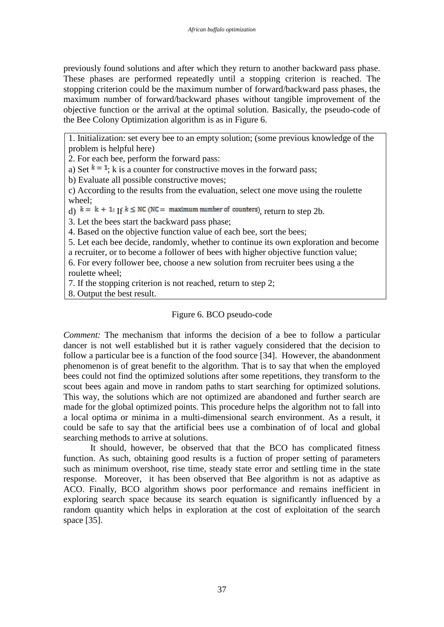previously found solutions and after which they return to another backward pass phase. These phases are performed repeatedly until a stopping criterion is reached. The stopping criterion could be the maximum number of forward/backward pass phases, the maximum number of forward/backward phases without tangible improvement of the objective function or the arrival at the optimal solution. Basically, the pseudo-code of the Bee Colony Optimization algorithm is as in Figure 6.

1. Initialization: set every bee to an empty solution; (some previous knowledge of the problem is helpful here)

2. For each bee, perform the forward pass:

a) Set  $k = 1$ ; k is a counter for constructive moves in the forward pass;

b) Evaluate all possible constructive moves;

c) According to the results from the evaluation, select one move using the roulette wheel;

d)  $k = k + 1$ ; If  $k \le NC$  (NC = maximum number of counters), return to step 2b.

3. Let the bees start the backward pass phase;

4. Based on the objective function value of each bee, sort the bees;

5. Let each bee decide, randomly, whether to continue its own exploration and become a recruiter, or to become a follower of bees with higher objective function value;

6. For every follower bee, choose a new solution from recruiter bees using a the roulette wheel;

7. If the stopping criterion is not reached, return to step 2;

8. Output the best result.

# Figure 6. BCO pseudo-code

*Comment:* The mechanism that informs the decision of a bee to follow a particular dancer is not well established but it is rather vaguely considered that the decision to follow a particular bee is a function of the food source [34]. However, the abandonment phenomenon is of great benefit to the algorithm. That is to say that when the employed bees could not find the optimized solutions after some repetitions, they transform to the scout bees again and move in random paths to start searching for optimized solutions. This way, the solutions which are not optimized are abandoned and further search are made for the global optimized points. This procedure helps the algorithm not to fall into a local optima or minima in a multi-dimensional search environment. As a result, it could be safe to say that the artificial bees use a combination of of local and global searching methods to arrive at solutions.

It should, however, be observed that that the BCO has complicated fitness function. As such, obtaining good results is a fuction of proper setting of parameters such as minimum overshoot, rise time, steady state error and settling time in the state response. Moreover, it has been observed that Bee algorithm is not as adaptive as ACO. Finally, BCO algorithm shows poor performance and remains inefficient in exploring search space because its search equation is significantly influenced by a random quantity which helps in exploration at the cost of exploitation of the search space [35].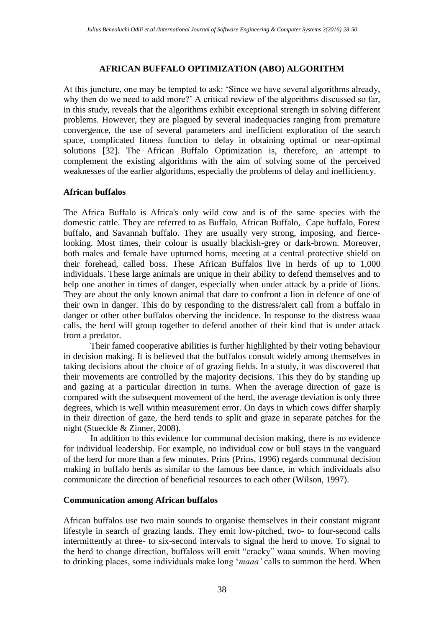#### **AFRICAN BUFFALO OPTIMIZATION (ABO) ALGORITHM**

At this juncture, one may be tempted to ask: 'Since we have several algorithms already, why then do we need to add more?' A critical review of the algorithms discussed so far, in this study, reveals that the algorithms exhibit exceptional strength in solving different problems. However, they are plagued by several inadequacies ranging from premature convergence, the use of several parameters and inefficient exploration of the search space, complicated fitness function to delay in obtaining optimal or near-optimal solutions [32]. The African Buffalo Optimization is, therefore, an attempt to complement the existing algorithms with the aim of solving some of the perceived weaknesses of the earlier algorithms, especially the problems of delay and inefficiency.

### **African buffalos**

The Africa Buffalo is Africa's only wild cow and is of the same species with the domestic cattle. They are referred to as Buffalo, African Buffalo, Cape buffalo, Forest buffalo, and Savannah buffalo. They are usually very strong, imposing, and fiercelooking. Most times, their colour is usually blackish-grey or dark-brown. Moreover, both males and female have upturned horns, meeting at a central protective shield on their forehead, called boss. These African Buffalos live in herds of up to 1,000 individuals. These large animals are unique in their ability to defend themselves and to help one another in times of danger, especially when under attack by a pride of lions. They are about the only known animal that dare to confront a lion in defence of one of their own in danger. This do by responding to the distress/alert call from a buffalo in danger or other other buffalos oberving the incidence. In response to the distress waaa calls, the herd will group together to defend another of their kind that is under attack from a predator.

 Their famed cooperative abilities is further highlighted by their voting behaviour in decision making. It is believed that the buffalos consult widely among themselves in taking decisions about the choice of of grazing fields. In a study, it was discovered that their movements are controlled by the majority decisions. This they do by standing up and gazing at a particular direction in turns. When the average direction of gaze is compared with the subsequent movement of the herd, the average deviation is only three degrees, which is well within measurement error. On days in which cows differ sharply in their direction of gaze, the herd tends to split and graze in separate patches for the night (Stueckle & Zinner, 2008).

 In addition to this evidence for communal decision making, there is no evidence for individual leadership. For example, no individual cow or bull stays in the vanguard of the herd for more than a few minutes. Prins (Prins, 1996) regards communal decision making in buffalo herds as similar to the famous bee dance, in which individuals also communicate the direction of beneficial resources to each other (Wilson, 1997).

#### **Communication among African buffalos**

African buffalos use two main sounds to organise themselves in their constant migrant lifestyle in search of grazing lands. They emit low-pitched, two- to four-second calls intermittently at three- to six-second intervals to signal the herd to move. To signal to the herd to change direction, buffaloss will emit "cracky" waaa sounds. When moving to drinking places, some individuals make long '*maaa'* calls to summon the herd. When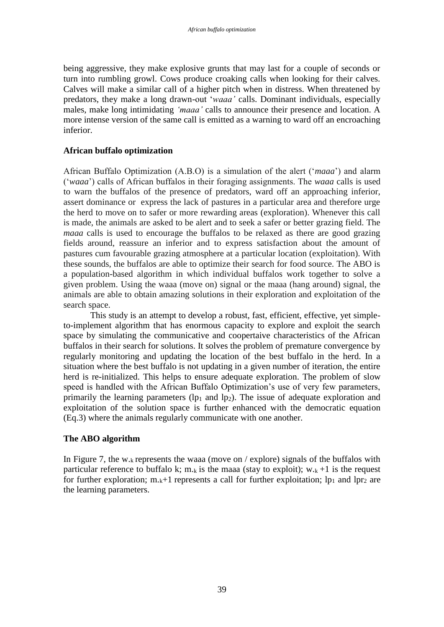being aggressive, they make explosive grunts that may last for a couple of seconds or turn into rumbling growl. Cows produce croaking calls when looking for their calves. Calves will make a similar call of a higher pitch when in distress. When threatened by predators, they make a long drawn-out '*waaa'* calls. Dominant individuals, especially males, make long intimidating *'maaa'* calls to announce their presence and location. A more intense version of the same call is emitted as a warning to ward off an encroaching inferior.

### **African buffalo optimization**

African Buffalo Optimization (A.B.O) is a simulation of the alert ('*maaa*') and alarm ('*waaa*') calls of African buffalos in their foraging assignments. The *waaa* calls is used to warn the buffalos of the presence of predators, ward off an approaching inferior, assert dominance or express the lack of pastures in a particular area and therefore urge the herd to move on to safer or more rewarding areas (exploration). Whenever this call is made, the animals are asked to be alert and to seek a safer or better grazing field. The *maaa* calls is used to encourage the buffalos to be relaxed as there are good grazing fields around, reassure an inferior and to express satisfaction about the amount of pastures cum favourable grazing atmosphere at a particular location (exploitation). With these sounds, the buffalos are able to optimize their search for food source. The ABO is a population-based algorithm in which individual buffalos work together to solve a given problem. Using the waaa (move on) signal or the maaa (hang around) signal, the animals are able to obtain amazing solutions in their exploration and exploitation of the search space.

This study is an attempt to develop a robust, fast, efficient, effective, yet simpleto-implement algorithm that has enormous capacity to explore and exploit the search space by simulating the communicative and coopertaive characteristics of the African buffalos in their search for solutions. It solves the problem of premature convergence by regularly monitoring and updating the location of the best buffalo in the herd. In a situation where the best buffalo is not updating in a given number of iteration, the entire herd is re-initialized. This helps to ensure adequate exploration. The problem of slow speed is handled with the African Buffalo Optimization's use of very few parameters, primarily the learning parameters  $(\mathbf{p}_1$  and  $\mathbf{p}_2)$ . The issue of adequate exploration and exploitation of the solution space is further enhanced with the democratic equation (Eq.3) where the animals regularly communicate with one another.

## **The ABO algorithm**

In Figure 7, the w.<sub>k</sub> represents the waaa (move on / explore) signals of the buffalos with particular reference to buffalo k; m.<sub>k</sub> is the maaa (stay to exploit);  $w_{k+1}$  is the request for further exploration;  $m_k+1$  represents a call for further exploitation;  $lp_1$  and  $lp_2$  are the learning parameters.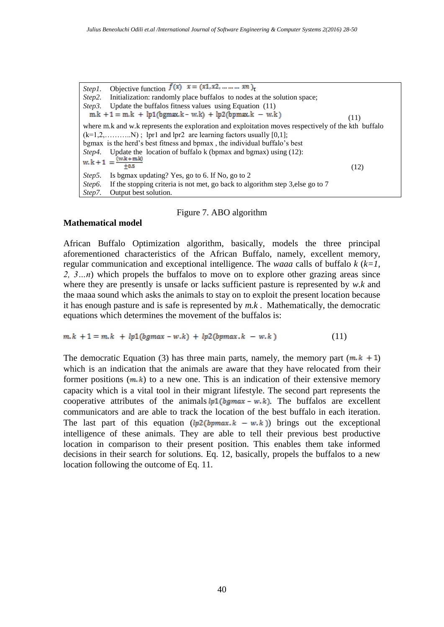*Step1*. Objective function  $f(x)$   $x = (x_1, x_2, ..., x_n)$ <sub>T</sub> *Step2.* Initialization: randomly place buffalos to nodes at the solution space; *Step3.* Update the buffalos fitness values using Equation (11)  $m.k + 1 = m.k + lp1(bgmax.k - w.k) + lp2(bpmax.k - w.k)$  $(11)$ where m.k and w.k represents the exploration and exploitation moves respectively of the kth buffalo  $(k=1,2,......,N)$ ; lpr1 and lpr2 are learning factors usually [0,1]; bgmax is the herd's best fitness and bpmax , the individual buffalo's best *Step4.* Update the location of buffalo k (bpmax and bgmax) using (12):<br>w.  $k + 1 = \frac{(w.k + mk)}{+n.5}$  $±0.5$  (12) *Step5.* Is bgmax updating? Yes, go to 6. If No, go to 2 *Step6.* If the stopping criteria is not met, go back to algorithm step 3, else go to 7 *Step7.* Output best solution.

### Figure 7. ABO algorithm

### **Mathematical model**

African Buffalo Optimization algorithm, basically, models the three principal aforementioned characteristics of the African Buffalo, namely, excellent memory, regular communication and exceptional intelligence. The *waaa* calls of buffalo *k* (*k=1, 2, 3…n*) which propels the buffalos to move on to explore other grazing areas since where they are presently is unsafe or lacks sufficient pasture is represented by *w.k* and the maaa sound which asks the animals to stay on to exploit the present location because it has enough pasture and is safe is represented by *m.k* . Mathematically, the democratic equations which determines the movement of the buffalos is:

$$
m.k + 1 = m.k + lp1(bgmax - w.k) + lp2(bpmax.k - w.k)
$$
\n(11)

The democratic Equation (3) has three main parts, namely, the memory part  $(m, k + 1)$ which is an indication that the animals are aware that they have relocated from their former positions  $(m, k)$  to a new one. This is an indication of their extensive memory capacity which is a vital tool in their migrant lifestyle. The second part represents the cooperative attributes of the animals  $lp1(bgmax - w.k)$ . The buffalos are excellent communicators and are able to track the location of the best buffalo in each iteration. The last part of this equation  $(lp2(bpmax,k - w,k))$  brings out the exceptional intelligence of these animals. They are able to tell their previous best productive location in comparison to their present position. This enables them take informed decisions in their search for solutions. Eq. 12, basically, propels the buffalos to a new location following the outcome of Eq. 11.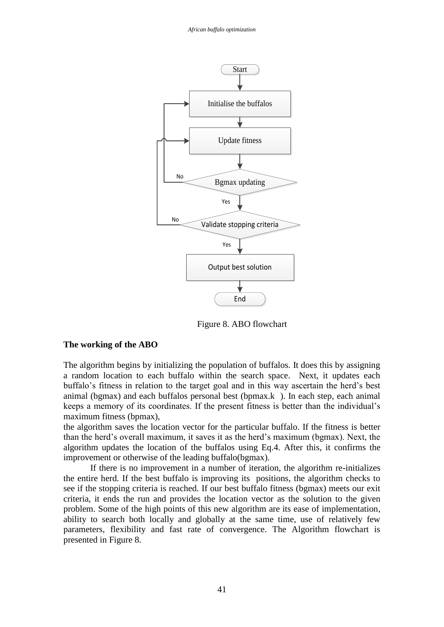

Figure 8. ABO flowchart

#### **The working of the ABO**

The algorithm begins by initializing the population of buffalos. It does this by assigning a random location to each buffalo within the search space. Next, it updates each buffalo's fitness in relation to the target goal and in this way ascertain the herd's best animal (bgmax) and each buffalos personal best (bpmax.k). In each step, each animal keeps a memory of its coordinates. If the present fitness is better than the individual's maximum fitness (bpmax),

the algorithm saves the location vector for the particular buffalo. If the fitness is better than the herd's overall maximum, it saves it as the herd's maximum (bgmax). Next, the algorithm updates the location of the buffalos using Eq.4. After this, it confirms the improvement or otherwise of the leading buffalo(bgmax).

If there is no improvement in a number of iteration, the algorithm re-initializes the entire herd. If the best buffalo is improving its positions, the algorithm checks to see if the stopping criteria is reached. If our best buffalo fitness (bgmax) meets our exit criteria, it ends the run and provides the location vector as the solution to the given problem. Some of the high points of this new algorithm are its ease of implementation, ability to search both locally and globally at the same time, use of relatively few parameters, flexibility and fast rate of convergence. The Algorithm flowchart is presented in Figure 8.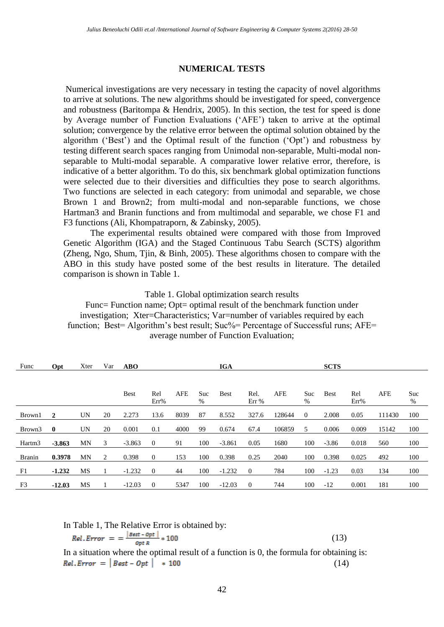#### **NUMERICAL TESTS**

Numerical investigations are very necessary in testing the capacity of novel algorithms to arrive at solutions. The new algorithms should be investigated for speed, convergence and robustness (Baritompa & Hendrix, 2005). In this section, the test for speed is done by Average number of Function Evaluations ('AFE') taken to arrive at the optimal solution; convergence by the relative error between the optimal solution obtained by the algorithm ('Best') and the Optimal result of the function ('Opt') and robustness by testing different search spaces ranging from Unimodal non-separable, Multi-modal nonseparable to Multi-modal separable. A comparative lower relative error, therefore, is indicative of a better algorithm. To do this, six benchmark global optimization functions were selected due to their diversities and difficulties they pose to search algorithms. Two functions are selected in each category: from unimodal and separable, we chose Brown 1 and Brown2; from multi-modal and non-separable functions, we chose Hartman3 and Branin functions and from multimodal and separable, we chose F1 and F3 functions (Ali, Khompatraporn, & Zabinsky, 2005).

The experimental results obtained were compared with those from Improved Genetic Algorithm (IGA) and the Staged Continuous Tabu Search (SCTS) algorithm (Zheng, Ngo, Shum, Tjin, & Binh, 2005). These algorithms chosen to compare with the ABO in this study have posted some of the best results in literature. The detailed comparison is shown in Table 1.

Table 1. Global optimization search results

Func= Function name; Opt= optimal result of the benchmark function under investigation; Xter=Characteristics; Var=number of variables required by each function; Best= Algorithm's best result; Suc%= Percentage of Successful runs; AFE= average number of Function Evaluation;

| Func               | Opt          | Xter      | Var          | <b>ABO</b>  |                  |            |          | <b>IGA</b>  |                |            |          | <b>SCTS</b> |             |            |          |
|--------------------|--------------|-----------|--------------|-------------|------------------|------------|----------|-------------|----------------|------------|----------|-------------|-------------|------------|----------|
|                    |              |           |              |             |                  |            |          |             |                |            |          |             |             |            |          |
|                    |              |           |              | <b>Best</b> | Rel<br>Err%      | <b>AFE</b> | Suc<br>% | <b>Best</b> | Rel.<br>Err%   | <b>AFE</b> | Suc<br>% | <b>Best</b> | Rel<br>Err% | <b>AFE</b> | Suc<br>% |
| Brown1             | 2            | <b>UN</b> | 20           | 2.273       | 13.6             | 8039       | 87       | 8.552       | 327.6          | 128644     | $\Omega$ | 2.008       | 0.05        | 111430     | 100      |
| Brown3             | $\mathbf{0}$ | <b>UN</b> | 20           | 0.001       | 0.1              | 4000       | 99       | 0.674       | 67.4           | 106859     | 5        | 0.006       | 0.009       | 15142      | 100      |
| Hartm <sub>3</sub> | $-3.863$     | MN        | 3            | $-3.863$    | $\mathbf{0}$     | 91         | 100      | $-3.861$    | 0.05           | 1680       | 100      | $-3.86$     | 0.018       | 560        | 100      |
| <b>Branin</b>      | 0.3978       | MN        | 2            | 0.398       | $\theta$         | 153        | 100      | 0.398       | 0.25           | 2040       | 100      | 0.398       | 0.025       | 492        | 100      |
| F1                 | $-1.232$     | MS        | $\mathbf{I}$ | $-1.232$    | $\boldsymbol{0}$ | 44         | 100      | $-1.232$    | $\overline{0}$ | 784        | 100      | $-1.23$     | 0.03        | 134        | 100      |
| F <sub>3</sub>     | $-12.03$     | MS        | 1            | $-12.03$    | $\theta$         | 5347       | 100      | $-12.03$    | $\overline{0}$ | 744        | 100      | $-12$       | 0.001       | 181        | 100      |

In Table 1, The Relative Error is obtained by:

$$
Rel. Error = \frac{|Best - Opt|}{opt R} * 100 \tag{13}
$$

In a situation where the optimal result of a function is 0, the formula for obtaining is:  $RelError = | Best - Opt | * 100$ (14)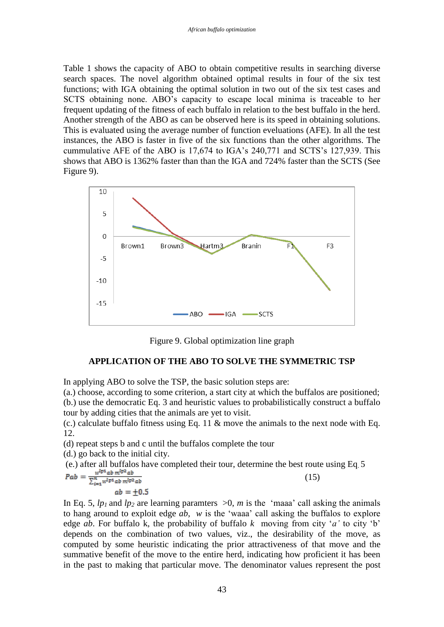Table 1 shows the capacity of ABO to obtain competitive results in searching diverse search spaces. The novel algorithm obtained optimal results in four of the six test functions; with IGA obtaining the optimal solution in two out of the six test cases and SCTS obtaining none. ABO's capacity to escape local minima is traceable to her frequent updating of the fitness of each buffalo in relation to the best buffalo in the herd. Another strength of the ABO as can be observed here is its speed in obtaining solutions. This is evaluated using the average number of function eveluations (AFE). In all the test instances, the ABO is faster in five of the six functions than the other algorithms. The cummulative AFE of the ABO is 17,674 to IGA's 240,771 and SCTS's 127,939. This shows that ABO is 1362% faster than than the IGA and 724% faster than the SCTS (See Figure 9).



Figure 9. Global optimization line graph

# **APPLICATION OF THE ABO TO SOLVE THE SYMMETRIC TSP**

In applying ABO to solve the TSP, the basic solution steps are:

(a.) choose, according to some criterion, a start city at which the buffalos are positioned; (b.) use the democratic Eq. 3 and heuristic values to probabilistically construct a buffalo tour by adding cities that the animals are yet to visit.

(c.) calculate buffalo fitness using Eq. 11  $\&$  move the animals to the next node with Eq. 12.

(d) repeat steps b and c until the buffalos complete the tour

(d.) go back to the initial city.

(e.) after all buffalos have completed their tour, determine the best route using Eq. 5<br>  $\mathbf{Pab} = \frac{w^{\mathbf{I}p\mathbf{1}}ab m^{\mathbf{I}p\mathbf{2}}ab}{\sum_{i=1}^{n} w^{\mathbf{I}p\mathbf{1}}ab m^{\mathbf{I}p\mathbf{2}}ab}$  (15) (15)  $ab = +0.5$ 

In Eq. 5,  $lp_1$  and  $lp_2$  are learning paramters  $>0$ , *m* is the 'maaa' call asking the animals to hang around to exploit edge *ab*, *w* is the 'waaa' call asking the buffalos to explore edge *ab*. For buffalo k, the probability of buffalo *k* moving from city '*a*' to city 'b' depends on the combination of two values, viz., the desirability of the move, as computed by some heuristic indicating the prior attractiveness of that move and the summative benefit of the move to the entire herd, indicating how proficient it has been in the past to making that particular move. The denominator values represent the post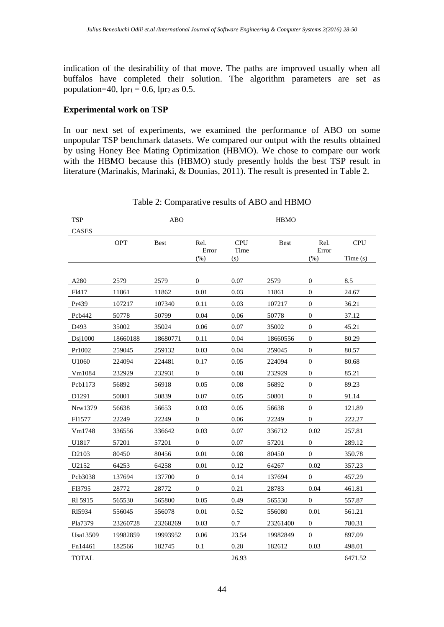indication of the desirability of that move. The paths are improved usually when all buffalos have completed their solution. The algorithm parameters are set as population=40,  $1pr_1 = 0.6$ ,  $1pr_2$  as 0.5.

## **Experimental work on TSP**

In our next set of experiments, we examined the performance of ABO on some unpopular TSP benchmark datasets. We compared our output with the results obtained by using Honey Bee Mating Optimization (HBMO). We chose to compare our work with the HBMO because this (HBMO) study presently holds the best TSP result in literature (Marinakis, Marinaki, & Dounias, 2011). The result is presented in Table 2.

| <b>TSP</b>        |          | <b>ABO</b>  |                  |                    | <b>HBMO</b> |                  |            |
|-------------------|----------|-------------|------------------|--------------------|-------------|------------------|------------|
| <b>CASES</b>      |          |             |                  |                    |             |                  |            |
|                   | OPT      | <b>Best</b> | Rel.<br>Error    | <b>CPU</b><br>Time | <b>Best</b> | Rel.<br>Error    | <b>CPU</b> |
|                   |          |             | $(\%)$           | (s)                |             | (% )             | Time (s)   |
|                   |          |             |                  |                    |             |                  |            |
| A280              | 2579     | 2579        | 0                | 0.07               | 2579        | $\boldsymbol{0}$ | 8.5        |
| F <sub>1417</sub> | 11861    | 11862       | 0.01             | 0.03               | 11861       | $\boldsymbol{0}$ | 24.67      |
| Pr439             | 107217   | 107340      | 0.11             | 0.03               | 107217      | $\mathbf{0}$     | 36.21      |
| Pcb442            | 50778    | 50799       | 0.04             | 0.06               | 50778       | $\mathbf{0}$     | 37.12      |
| D493              | 35002    | 35024       | 0.06             | 0.07               | 35002       | $\mathbf{0}$     | 45.21      |
| Disj1000          | 18660188 | 18680771    | 0.11             | 0.04               | 18660556    | $\Omega$         | 80.29      |
| Pr1002            | 259045   | 259132      | 0.03             | 0.04               | 259045      | $\theta$         | 80.57      |
| U1060             | 224094   | 224481      | 0.17             | 0.05               | 224094      | $\mathbf{0}$     | 80.68      |
| Vm1084            | 232929   | 232931      | 0                | 0.08               | 232929      | $\mathbf{0}$     | 85.21      |
| Pcb1173           | 56892    | 56918       | 0.05             | 0.08               | 56892       | $\mathbf{0}$     | 89.23      |
| D <sub>1291</sub> | 50801    | 50839       | 0.07             | 0.05               | 50801       | $\mathbf{0}$     | 91.14      |
| Nrw1379           | 56638    | 56653       | 0.03             | 0.05               | 56638       | $\mathbf{0}$     | 121.89     |
| F11577            | 22249    | 22249       | $\overline{0}$   | 0.06               | 22249       | $\mathbf{0}$     | 222.27     |
| Vm1748            | 336556   | 336642      | 0.03             | 0.07               | 336712      | 0.02             | 257.81     |
| U1817             | 57201    | 57201       | $\boldsymbol{0}$ | 0.07               | 57201       | $\boldsymbol{0}$ | 289.12     |
| D2103             | 80450    | 80456       | 0.01             | 0.08               | 80450       | $\overline{0}$   | 350.78     |
| U2152             | 64253    | 64258       | 0.01             | 0.12               | 64267       | 0.02             | 357.23     |
| Pcb3038           | 137694   | 137700      | 0                | 0.14               | 137694      | $\overline{0}$   | 457.29     |
| F13795            | 28772    | 28772       | $\boldsymbol{0}$ | 0.21               | 28783       | 0.04             | 461.81     |
| RI 5915           | 565530   | 565800      | 0.05             | 0.49               | 565530      | 0                | 557.87     |
| R15934            | 556045   | 556078      | 0.01             | 0.52               | 556080      | 0.01             | 561.21     |
| Pla7379           | 23260728 | 23268269    | 0.03             | 0.7                | 23261400    | $\boldsymbol{0}$ | 780.31     |
| Usa13509          | 19982859 | 19993952    | 0.06             | 23.54              | 19982849    | $\boldsymbol{0}$ | 897.09     |
| Fn14461           | 182566   | 182745      | 0.1              | 0.28               | 182612      | 0.03             | 498.01     |
| <b>TOTAL</b>      |          |             |                  | 26.93              |             |                  | 6471.52    |

Table 2: Comparative results of ABO and HBMO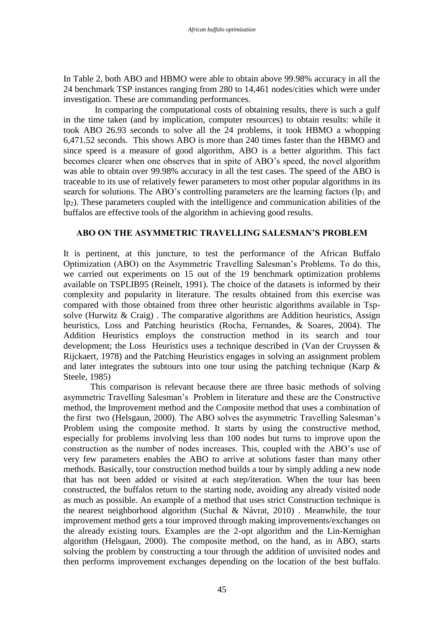In Table 2, both ABO and HBMO were able to obtain above 99.98% accuracy in all the 24 benchmark TSP instances ranging from 280 to 14,461 nodes/cities which were under investigation. These are commanding performances.

 In comparing the computational costs of obtaining results, there is such a gulf in the time taken (and by implication, computer resources) to obtain results: while it took ABO 26.93 seconds to solve all the 24 problems, it took HBMO a whopping 6,471.52 seconds. This shows ABO is more than 240 times faster than the HBMO and since speed is a measure of good algorithm, ABO is a better algorithm. This fact becomes clearer when one observes that in spite of ABO's speed, the novel algorithm was able to obtain over 99.98% accuracy in all the test cases. The speed of the ABO is traceable to its use of relatively fewer parameters to most other popular algorithms in its search for solutions. The ABO's controlling parameters are the learning factors ( $lp<sub>1</sub>$  and lp2). These parameters coupled with the intelligence and communication abilities of the buffalos are effective tools of the algorithm in achieving good results.

# **ABO ON THE ASYMMETRIC TRAVELLING SALESMAN'S PROBLEM**

It is pertinent, at this juncture, to test the performance of the African Buffalo Optimization (ABO) on the Asymmetric Travelling Salesman's Problems. To do this, we carried out experiments on 15 out of the 19 benchmark optimization problems available on TSPLIB95 (Reinelt, 1991). The choice of the datasets is informed by their complexity and popularity in literature. The results obtained from this exercise was compared with those obtained from three other heuristic algorithms available in Tspsolve (Hurwitz  $\&$  Craig). The comparative algorithms are Addition heuristics, Assign heuristics, Loss and Patching heuristics (Rocha, Fernandes, & Soares, 2004). The Addition Heuristics employs the construction method in its search and tour development; the Loss Heuristics uses a technique described in (Van der Cruyssen & Rijckaert, 1978) and the Patching Heuristics engages in solving an assignment problem and later integrates the subtours into one tour using the patching technique (Karp  $\&$ Steele, 1985)

This comparison is relevant because there are three basic methods of solving asymmetric Travelling Salesman's Problem in literature and these are the Constructive method, the Improvement method and the Composite method that uses a combination of the first two (Helsgaun, 2000). The ABO solves the asymmetric Travelling Salesman's Problem using the composite method. It starts by using the constructive method, especially for problems involving less than 100 nodes but turns to improve upon the construction as the number of nodes increases. This, coupled with the ABO's use of very few parameters enables the ABO to arrive at solutions faster than many other methods. Basically, tour construction method builds a tour by simply adding a new node that has not been added or visited at each step/iteration. When the tour has been constructed, the buffalos return to the starting node, avoiding any already visited node as much as possible. An example of a method that uses strict Construction technique is the nearest neighborhood algorithm (Suchal & Návrat, 2010) . Meanwhile, the tour improvement method gets a tour improved through making improvements/exchanges on the already existing tours. Examples are the 2-opt algorithm and the Lin-Kernighan algorithm (Helsgaun, 2000). The composite method, on the hand, as in ABO, starts solving the problem by constructing a tour through the addition of unvisited nodes and then performs improvement exchanges depending on the location of the best buffalo.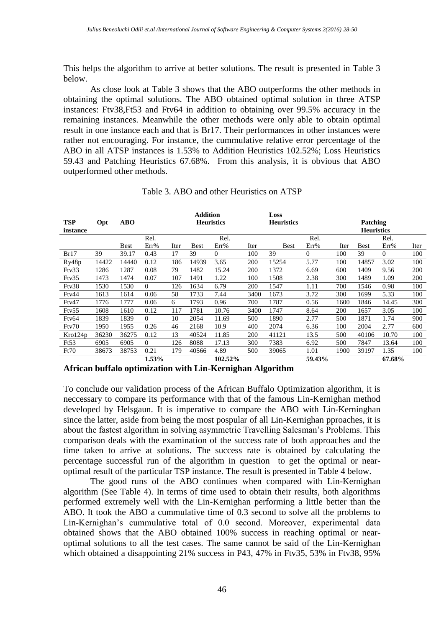This helps the algorithm to arrive at better solutions. The result is presented in Table 3 below.

As close look at Table 3 shows that the ABO outperforms the other methods in obtaining the optimal solutions. The ABO obtained optimal solution in three ATSP instances: Ftv38,Ft53 and Ftv64 in addition to obtaining over 99.5% accuracy in the remaining instances. Meanwhile the other methods were only able to obtain optimal result in one instance each and that is Br17. Their performances in other instances were rather not encouraging. For instance, the cummulative relative error percentage of the ABO in all ATSP instances is 1.53% to Addition Heuristics 102.52%; Loss Heuristics 59.43 and Patching Heuristics 67.68%. From this analysis, it is obvious that ABO outperformed other methods.

|            |       |             |          |                                        | <b>Addition</b> |         |      | Loss        |                   |      |             |                |      |
|------------|-------|-------------|----------|----------------------------------------|-----------------|---------|------|-------------|-------------------|------|-------------|----------------|------|
| <b>TSP</b> | Opt   | <b>ABO</b>  |          | <b>Heuristics</b><br><b>Heuristics</b> |                 |         |      |             | <b>Patching</b>   |      |             |                |      |
| instance   |       |             |          |                                        |                 |         |      |             | <b>Heuristics</b> |      |             |                |      |
|            |       |             | Rel.     |                                        |                 | Rel.    |      |             | Rel.              |      |             | Rel.           |      |
|            |       | <b>Best</b> | Err%     | Iter                                   | <b>Best</b>     | Err%    | Iter | <b>Best</b> | Err%              | Iter | <b>Best</b> | Err%           | Iter |
| Br17       | 39    | 39.17       | 0.43     | 17                                     | 39              | 0       | 100  | 39          | $\Omega$          | 100  | 39          | $\overline{0}$ | 100  |
| Ry48p      | 14422 | 14440       | 0.12     | 186                                    | 14939           | 3.65    | 200  | 15254       | 5.77              | 100  | 14857       | 3.02           | 100  |
| Ftv33      | 1286  | 1287        | 0.08     | 79                                     | 1482            | 15.24   | 200  | 1372        | 6.69              | 600  | 1409        | 9.56           | 200  |
| Ftv35      | 1473  | 1474        | 0.07     | 107                                    | 1491            | 1.22    | 100  | 1508        | 2.38              | 300  | 1489        | 1.09           | 200  |
| Ftv38      | 1530  | 1530        | $\Omega$ | 126                                    | 1634            | 6.79    | 200  | 1547        | 1.11              | 700  | 1546        | 0.98           | 100  |
| Ftv44      | 1613  | 1614        | 0.06     | 58                                     | 1733            | 7.44    | 3400 | 1673        | 3.72              | 300  | 1699        | 5.33           | 100  |
| Ftv47      | 1776  | 1777        | 0.06     | 6                                      | 1793            | 0.96    | 700  | 1787        | 0.56              | 1600 | 1846        | 14.45          | 300  |
| Ftv55      | 1608  | 1610        | 0.12     | 117                                    | 1781            | 10.76   | 3400 | 1747        | 8.64              | 200  | 1657        | 3.05           | 100  |
| Fty64      | 1839  | 1839        | $\Omega$ | 10                                     | 2054            | 11.69   | 500  | 1890        | 2.77              | 500  | 1871        | 1.74           | 900  |
| Ftv70      | 1950  | 1955        | 0.26     | 46                                     | 2168            | 10.9    | 400  | 2074        | 6.36              | 100  | 2004        | 2.77           | 600  |
| Kro124p    | 36230 | 36275       | 0.12     | 13                                     | 40524           | 11.85   | 200  | 41121       | 13.5              | 500  | 40106       | 10.70          | 100  |
| Ft53       | 6905  | 6905        | $\Omega$ | 126                                    | 8088            | 17.13   | 300  | 7383        | 6.92              | 500  | 7847        | 13.64          | 100  |
| Ft70       | 38673 | 38753       | 0.21     | 179                                    | 40566           | 4.89    | 500  | 39065       | 1.01              | 1900 | 39197       | 1.35           | 100  |
|            |       |             | 1.53%    |                                        |                 | 102.52% |      |             | 59.43%            |      |             | 67.68%         |      |
| .          |       |             |          |                                        |                 |         |      |             |                   |      |             |                |      |

Table 3. ABO and other Heuristics on ATSP

**African buffalo optimization with Lin-Kernighan Algorithm**

To conclude our validation process of the African Buffalo Optimization algorithm, it is neccessary to compare its performance with that of the famous Lin-Kernighan method developed by Helsgaun. It is imperative to compare the ABO with Lin-Kerninghan since the latter, aside from being the most pospular of all Lin-Kernighan pproaches, it is about the fastest algorithm in solving asymmetric Travelling Salesman's Problems. This comparison deals with the examination of the success rate of both approaches and the time taken to arrive at solutions. The success rate is obtained by calculating the percentage successful run of the algorithm in question to get the optimal or nearoptimal result of the particular TSP instance. The result is presented in Table 4 below.

 The good runs of the ABO continues when compared with Lin-Kernighan algorithm (See Table 4). In terms of time used to obtain their results, both algorithms performed extremely well with the Lin-Kernighan performing a little better than the ABO. It took the ABO a cummulative time of 0.3 second to solve all the problems to Lin-Kernighan's cummulative total of 0.0 second. Moreover, experimental data obtained shows that the ABO obtained 100% success in reaching optimal or nearoptimal solutions to all the test cases. The same cannot be said of the Lin-Kernighan which obtained a disappointing 21% success in P43, 47% in Ftv35, 53% in Ftv38, 95%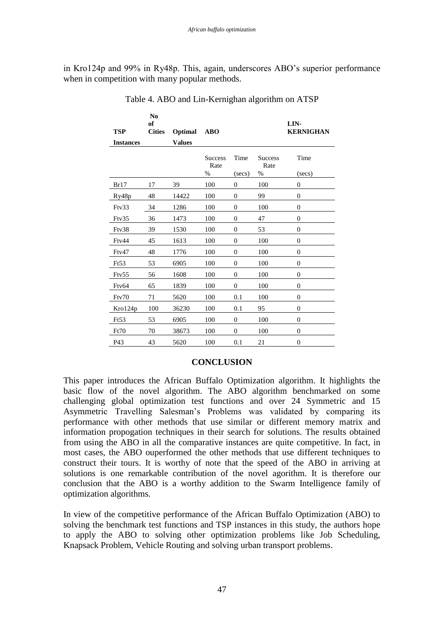in Kro124p and 99% in Ry48p. This, again, underscores ABO's superior performance when in competition with many popular methods.

| <b>TSP</b>       | N <sub>0</sub><br>of<br><b>Cities</b> | Optimal       | <b>ABO</b>             |                  |                        | LIN-<br><b>KERNIGHAN</b> |
|------------------|---------------------------------------|---------------|------------------------|------------------|------------------------|--------------------------|
| <b>Instances</b> |                                       | <b>Values</b> |                        |                  |                        |                          |
|                  |                                       |               | <b>Success</b><br>Rate | Time             | <b>Success</b><br>Rate | Time                     |
|                  |                                       |               | $\%$                   | (secs)           | %                      | (secs)                   |
| Br17             | 17                                    | 39            | 100                    | $\boldsymbol{0}$ | 100                    | $\mathbf{0}$             |
| Ry48p            | 48                                    | 14422         | 100                    | $\mathbf{0}$     | 99                     | $\mathbf{0}$             |
| Ftv33            | 34                                    | 1286          | 100                    | $\boldsymbol{0}$ | 100                    | $\boldsymbol{0}$         |
| Ftv35            | 36                                    | 1473          | 100                    | $\overline{0}$   | 47                     | $\overline{0}$           |
| Ftv38            | 39                                    | 1530          | 100                    | $\mathbf{0}$     | 53                     | $\overline{0}$           |
| Fty44            | 45                                    | 1613          | 100                    | $\boldsymbol{0}$ | 100                    | $\overline{0}$           |
| Fty47            | 48                                    | 1776          | 100                    | $\mathbf{0}$     | 100                    | $\mathbf{0}$             |
| Ft53             | 53                                    | 6905          | 100                    | $\boldsymbol{0}$ | 100                    | $\boldsymbol{0}$         |
| Ftv55            | 56                                    | 1608          | 100                    | $\overline{0}$   | 100                    | $\overline{0}$           |
| Ftv64            | 65                                    | 1839          | 100                    | $\boldsymbol{0}$ | 100                    | $\boldsymbol{0}$         |
| Ftv70            | 71                                    | 5620          | 100                    | 0.1              | 100                    | $\boldsymbol{0}$         |
| Kro124p          | 100                                   | 36230         | 100                    | 0.1              | 95                     | $\mathbf{0}$             |
| Ft53             | 53                                    | 6905          | 100                    | $\boldsymbol{0}$ | 100                    | $\boldsymbol{0}$         |
| Ft70             | 70                                    | 38673         | 100                    | $\mathbf{0}$     | 100                    | $\boldsymbol{0}$         |
| P43              | 43                                    | 5620          | 100                    | 0.1              | 21                     | $\boldsymbol{0}$         |

Table 4. ABO and Lin-Kernighan algorithm on ATSP

## **CONCLUSION**

This paper introduces the African Buffalo Optimization algorithm. It highlights the basic flow of the novel algorithm. The ABO algorithm benchmarked on some challenging global optimization test functions and over 24 Symmetric and 15 Asymmetric Travelling Salesman's Problems was validated by comparing its performance with other methods that use similar or different memory matrix and information propogation techniques in their search for solutions. The results obtained from using the ABO in all the comparative instances are quite competitive. In fact, in most cases, the ABO ouperformed the other methods that use different techniques to construct their tours. It is worthy of note that the speed of the ABO in arriving at solutions is one remarkable contribution of the novel agorithm. It is therefore our conclusion that the ABO is a worthy addition to the Swarm Intelligence family of optimization algorithms.

In view of the competitive performance of the African Buffalo Optimization (ABO) to solving the benchmark test functions and TSP instances in this study, the authors hope to apply the ABO to solving other optimization problems like Job Scheduling, Knapsack Problem, Vehicle Routing and solving urban transport problems.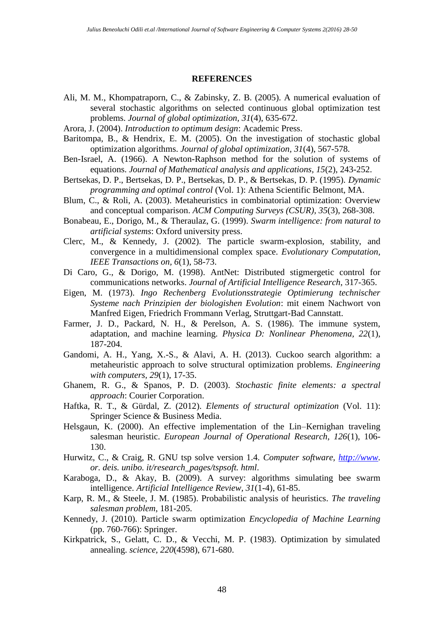#### **REFERENCES**

- Ali, M. M., Khompatraporn, C., & Zabinsky, Z. B. (2005). A numerical evaluation of several stochastic algorithms on selected continuous global optimization test problems. *Journal of global optimization, 31*(4), 635-672.
- Arora, J. (2004). *Introduction to optimum design*: Academic Press.
- Baritompa, B., & Hendrix, E. M. (2005). On the investigation of stochastic global optimization algorithms. *Journal of global optimization, 31*(4), 567-578.
- Ben-Israel, A. (1966). A Newton-Raphson method for the solution of systems of equations. *Journal of Mathematical analysis and applications, 15*(2), 243-252.
- Bertsekas, D. P., Bertsekas, D. P., Bertsekas, D. P., & Bertsekas, D. P. (1995). *Dynamic programming and optimal control* (Vol. 1): Athena Scientific Belmont, MA.
- Blum, C., & Roli, A. (2003). Metaheuristics in combinatorial optimization: Overview and conceptual comparison. *ACM Computing Surveys (CSUR), 35*(3), 268-308.
- Bonabeau, E., Dorigo, M., & Theraulaz, G. (1999). *Swarm intelligence: from natural to artificial systems*: Oxford university press.
- Clerc, M., & Kennedy, J. (2002). The particle swarm-explosion, stability, and convergence in a multidimensional complex space. *Evolutionary Computation, IEEE Transactions on, 6*(1), 58-73.
- Di Caro, G., & Dorigo, M. (1998). AntNet: Distributed stigmergetic control for communications networks. *Journal of Artificial Intelligence Research*, 317-365.
- Eigen, M. (1973). *Ingo Rechenberg Evolutionsstrategie Optimierung technischer Systeme nach Prinzipien der biologishen Evolution*: mit einem Nachwort von Manfred Eigen, Friedrich Frommann Verlag, Struttgart-Bad Cannstatt.
- Farmer, J. D., Packard, N. H., & Perelson, A. S. (1986). The immune system, adaptation, and machine learning. *Physica D: Nonlinear Phenomena, 22*(1), 187-204.
- Gandomi, A. H., Yang, X.-S., & Alavi, A. H. (2013). Cuckoo search algorithm: a metaheuristic approach to solve structural optimization problems. *Engineering with computers, 29*(1), 17-35.
- Ghanem, R. G., & Spanos, P. D. (2003). *Stochastic finite elements: a spectral approach*: Courier Corporation.
- Haftka, R. T., & Gürdal, Z. (2012). *Elements of structural optimization* (Vol. 11): Springer Science & Business Media.
- Helsgaun, K. (2000). An effective implementation of the Lin–Kernighan traveling salesman heuristic. *European Journal of Operational Research, 126*(1), 106- 130.
- Hurwitz, C., & Craig, R. GNU tsp solve version 1.4. *Computer software, [http://www.](http://www/) or. deis. unibo. it/research\_pages/tspsoft. html*.
- Karaboga, D., & Akay, B. (2009). A survey: algorithms simulating bee swarm intelligence. *Artificial Intelligence Review, 31*(1-4), 61-85.
- Karp, R. M., & Steele, J. M. (1985). Probabilistic analysis of heuristics. *The traveling salesman problem*, 181-205.
- Kennedy, J. (2010). Particle swarm optimization *Encyclopedia of Machine Learning* (pp. 760-766): Springer.
- Kirkpatrick, S., Gelatt, C. D., & Vecchi, M. P. (1983). Optimization by simulated annealing. *science, 220*(4598), 671-680.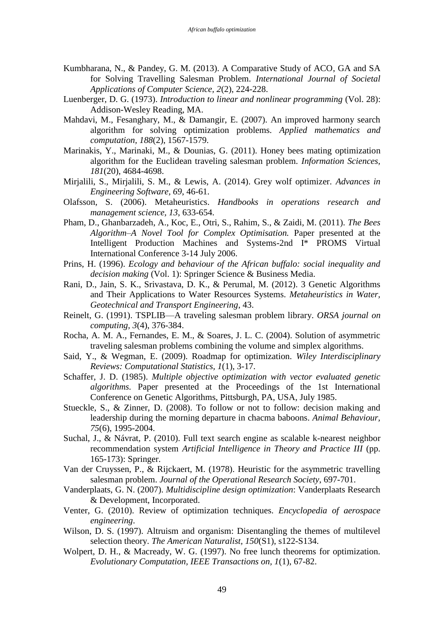- Kumbharana, N., & Pandey, G. M. (2013). A Comparative Study of ACO, GA and SA for Solving Travelling Salesman Problem. *International Journal of Societal Applications of Computer Science, 2*(2), 224-228.
- Luenberger, D. G. (1973). *Introduction to linear and nonlinear programming* (Vol. 28): Addison-Wesley Reading, MA.
- Mahdavi, M., Fesanghary, M., & Damangir, E. (2007). An improved harmony search algorithm for solving optimization problems. *Applied mathematics and computation, 188*(2), 1567-1579.
- Marinakis, Y., Marinaki, M., & Dounias, G. (2011). Honey bees mating optimization algorithm for the Euclidean traveling salesman problem. *Information Sciences, 181*(20), 4684-4698.
- Mirjalili, S., Mirjalili, S. M., & Lewis, A. (2014). Grey wolf optimizer. *Advances in Engineering Software, 69*, 46-61.
- Olafsson, S. (2006). Metaheuristics. *Handbooks in operations research and management science, 13*, 633-654.
- Pham, D., Ghanbarzadeh, A., Koc, E., Otri, S., Rahim, S., & Zaidi, M. (2011). *The Bees Algorithm–A Novel Tool for Complex Optimisation.* Paper presented at the Intelligent Production Machines and Systems-2nd I\* PROMS Virtual International Conference 3-14 July 2006.
- Prins, H. (1996). *Ecology and behaviour of the African buffalo: social inequality and decision making* (Vol. 1): Springer Science & Business Media.
- Rani, D., Jain, S. K., Srivastava, D. K., & Perumal, M. (2012). 3 Genetic Algorithms and Their Applications to Water Resources Systems. *Metaheuristics in Water, Geotechnical and Transport Engineering*, 43.
- Reinelt, G. (1991). TSPLIB—A traveling salesman problem library. *ORSA journal on computing, 3*(4), 376-384.
- Rocha, A. M. A., Fernandes, E. M., & Soares, J. L. C. (2004). Solution of asymmetric traveling salesman problems combining the volume and simplex algorithms.
- Said, Y., & Wegman, E. (2009). Roadmap for optimization. *Wiley Interdisciplinary Reviews: Computational Statistics, 1*(1), 3-17.
- Schaffer, J. D. (1985). *Multiple objective optimization with vector evaluated genetic algorithms.* Paper presented at the Proceedings of the 1st International Conference on Genetic Algorithms, Pittsburgh, PA, USA, July 1985.
- Stueckle, S., & Zinner, D. (2008). To follow or not to follow: decision making and leadership during the morning departure in chacma baboons. *Animal Behaviour, 75*(6), 1995-2004.
- Suchal, J., & Návrat, P. (2010). Full text search engine as scalable k-nearest neighbor recommendation system *Artificial Intelligence in Theory and Practice III* (pp. 165-173): Springer.
- Van der Cruyssen, P., & Rijckaert, M. (1978). Heuristic for the asymmetric travelling salesman problem. *Journal of the Operational Research Society*, 697-701.
- Vanderplaats, G. N. (2007). *Multidiscipline design optimization*: Vanderplaats Research & Development, Incorporated.
- Venter, G. (2010). Review of optimization techniques. *Encyclopedia of aerospace engineering*.
- Wilson, D. S. (1997). Altruism and organism: Disentangling the themes of multilevel selection theory. *The American Naturalist, 150*(S1), s122-S134.
- Wolpert, D. H., & Macready, W. G. (1997). No free lunch theorems for optimization. *Evolutionary Computation, IEEE Transactions on, 1*(1), 67-82.